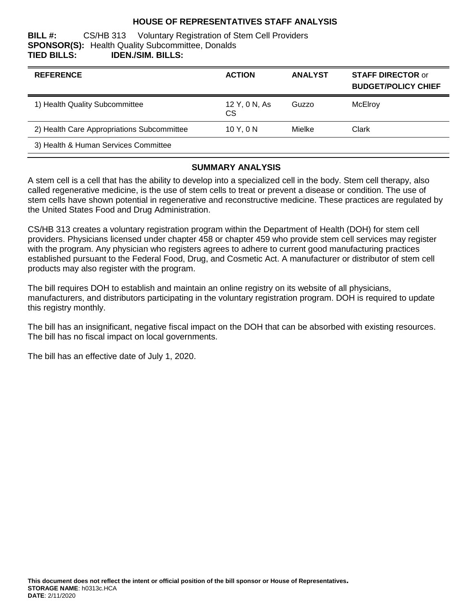## **HOUSE OF REPRESENTATIVES STAFF ANALYSIS**

#### **BILL #:** CS/HB 313 Voluntary Registration of Stem Cell Providers **SPONSOR(S):** Health Quality Subcommittee, Donalds **TIED BILLS: IDEN./SIM. BILLS:**

| <b>REFERENCE</b>                           | <b>ACTION</b>              | <b>ANALYST</b> | <b>STAFF DIRECTOR or</b><br><b>BUDGET/POLICY CHIEF</b> |
|--------------------------------------------|----------------------------|----------------|--------------------------------------------------------|
| 1) Health Quality Subcommittee             | 12 Y, 0 N, As<br><b>CS</b> | Guzzo          | McElroy                                                |
| 2) Health Care Appropriations Subcommittee | 10Y.0N                     | Mielke         | Clark                                                  |
| 3) Health & Human Services Committee       |                            |                |                                                        |

#### **SUMMARY ANALYSIS**

A stem cell is a cell that has the ability to develop into a specialized cell in the body. Stem cell therapy, also called regenerative medicine, is the use of stem cells to treat or prevent a disease or condition. The use of stem cells have shown potential in regenerative and reconstructive medicine. These practices are regulated by the United States Food and Drug Administration.

CS/HB 313 creates a voluntary registration program within the Department of Health (DOH) for stem cell providers. Physicians licensed under chapter 458 or chapter 459 who provide stem cell services may register with the program. Any physician who registers agrees to adhere to current good manufacturing practices established pursuant to the Federal Food, Drug, and Cosmetic Act. A manufacturer or distributor of stem cell products may also register with the program.

The bill requires DOH to establish and maintain an online registry on its website of all physicians, manufacturers, and distributors participating in the voluntary registration program. DOH is required to update this registry monthly.

The bill has an insignificant, negative fiscal impact on the DOH that can be absorbed with existing resources. The bill has no fiscal impact on local governments.

The bill has an effective date of July 1, 2020.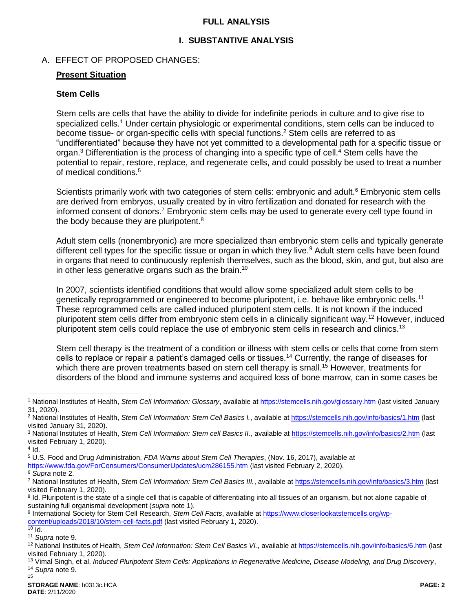### <span id="page-1-0"></span>**FULL ANALYSIS**

## <span id="page-1-2"></span>**I. SUBSTANTIVE ANALYSIS**

## A. EFFECT OF PROPOSED CHANGES:

#### **Present Situation**

#### **Stem Cells**

<span id="page-1-1"></span>Stem cells are cells that have the ability to divide for indefinite periods in culture and to give rise to specialized cells.<sup>1</sup> Under certain physiologic or experimental conditions, stem cells can be induced to become tissue- or organ-specific cells with special functions.<sup>2</sup> Stem cells are referred to as "undifferentiated" because they have not yet committed to a developmental path for a specific tissue or organ.<sup>3</sup> Differentiation is the process of changing into a specific type of cell.<sup>4</sup> Stem cells have the potential to repair, restore, replace, and regenerate cells, and could possibly be used to treat a number of medical conditions.<sup>5</sup>

Scientists primarily work with two categories of stem cells: embryonic and adult.<sup>6</sup> Embryonic stem cells are derived from embryos, usually created by in vitro fertilization and donated for research with the informed consent of donors.<sup>7</sup> Embryonic stem cells may be used to generate every cell type found in the body because they are pluripotent.<sup>8</sup>

Adult stem cells (nonembryonic) are more specialized than embryonic stem cells and typically generate different cell types for the specific tissue or organ in which they live.<sup>9</sup> Adult stem cells have been found in organs that need to continuously replenish themselves, such as the blood, skin, and gut, but also are in other less generative organs such as the brain.<sup>10</sup>

In 2007, scientists identified conditions that would allow some specialized adult stem cells to be genetically reprogrammed or engineered to become pluripotent, i.e. behave like embryonic cells.<sup>11</sup> These reprogrammed cells are called induced pluripotent stem cells. It is not known if the induced pluripotent stem cells differ from embryonic stem cells in a clinically significant way.<sup>12</sup> However, induced pluripotent stem cells could replace the use of embryonic stem cells in research and clinics.<sup>13</sup>

Stem cell therapy is the treatment of a condition or illness with stem cells or cells that come from stem cells to replace or repair a patient's damaged cells or tissues.<sup>14</sup> Currently, the range of diseases for which there are proven treatments based on stem cell therapy is small.<sup>15</sup> However, treatments for disorders of the blood and immune systems and acquired loss of bone marrow, can in some cases be

 $\overline{a}$ 

<https://www.fda.gov/ForConsumers/ConsumerUpdates/ucm286155.htm> (last visited February 2, 2020).

<sup>8</sup> Id. Pluripotent is the state of a single cell that is capable of differentiating into all tissues of an organism, but not alone capable of sustaining full organismal development (*supra* not[e 1\)](#page-1-1).

9 International Society for Stem Cell Research, *Stem Cell Facts*, available a[t https://www.closerlookatstemcells.org/wp](https://www.closerlookatstemcells.org/wp-content/uploads/2018/10/stem-cell-facts.pdf)[content/uploads/2018/10/stem-cell-facts.pdf](https://www.closerlookatstemcells.org/wp-content/uploads/2018/10/stem-cell-facts.pdf) (last visited February 1, 2020).

<sup>1</sup> National Institutes of Health, *Stem Cell Information: Glossary*, available at<https://stemcells.nih.gov/glossary.htm> (last visited January 31, 2020).

<sup>2</sup> National Institutes of Health, *Stem Cell Information: Stem Cell Basics I.*, available at<https://stemcells.nih.gov/info/basics/1.htm> (last visited January 31, 2020).

<sup>3</sup> National Institutes of Health, *Stem Cell Information: Stem cell Basics II.*, available a[t https://stemcells.nih.gov/info/basics/2.htm](https://stemcells.nih.gov/info/basics/2.htm) (last visited February 1, 2020).

 $4$  Id.

<sup>5</sup> U.S. Food and Drug Administration, *FDA Warns about Stem Cell Therapies*, (Nov. 16, 2017), available at

<sup>6</sup> *Supra* not[e 2.](#page-1-0)

<sup>7</sup> National Institutes of Health, *Stem Cell Information: Stem Cell Basics III.*, available at<https://stemcells.nih.gov/info/basics/3.htm> (last visited February 1, 2020).

 $\overline{10}$  Id.

<sup>11</sup> *Supra* not[e 9.](#page-1-2)

<sup>12</sup> National Institutes of Health, *Stem Cell Information: Stem Cell Basics VI.*, available at<https://stemcells.nih.gov/info/basics/6.htm> (last visited February 1, 2020).

<sup>13</sup> Vimal Singh, et al, *Induced Pluripotent Stem Cells: Applications in Regenerative Medicine, Disease Modeling, and Drug Discovery*, <sup>14</sup> *Supra* not[e 9.](#page-1-2)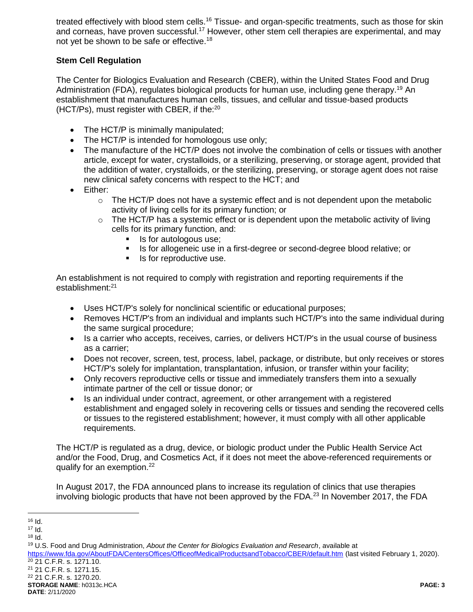treated effectively with blood stem cells.<sup>16</sup> Tissue- and organ-specific treatments, such as those for skin and corneas, have proven successful.<sup>17</sup> However, other stem cell therapies are experimental, and may not yet be shown to be safe or effective.<sup>18</sup>

## **Stem Cell Regulation**

The Center for Biologics Evaluation and Research (CBER), within the United States Food and Drug Administration (FDA), regulates biological products for human use, including gene therapy.<sup>19</sup> An establishment that manufactures human cells, tissues, and cellular and tissue-based products (HCT/Ps), must register with CBER, if the:<sup>20</sup>

- The HCT/P is minimally manipulated;
- The HCT/P is intended for homologous use only;
- The manufacture of the HCT/P does not involve the combination of cells or tissues with another article, except for water, crystalloids, or a sterilizing, preserving, or storage agent, provided that the addition of water, crystalloids, or the sterilizing, preserving, or storage agent does not raise new clinical safety concerns with respect to the HCT; and
- Either:
	- o The HCT/P does not have a systemic effect and is not dependent upon the metabolic activity of living cells for its primary function; or
	- $\circ$  The HCT/P has a systemic effect or is dependent upon the metabolic activity of living cells for its primary function, and:
		- Is for autologous use;<br>Is for allogoneic use in
		- Is for allogeneic use in a first-degree or second-degree blood relative; or
		- Is for reproductive use.

An establishment is not required to comply with registration and reporting requirements if the establishment:<sup>21</sup>

- Uses HCT/P's solely for nonclinical scientific or educational purposes;
- Removes HCT/P's from an individual and implants such HCT/P's into the same individual during the same surgical procedure;
- Is a carrier who accepts, receives, carries, or delivers HCT/P's in the usual course of business as a carrier;
- Does not recover, screen, test, process, label, package, or distribute, but only receives or stores HCT/P's solely for implantation, transplantation, infusion, or transfer within your facility;
- Only recovers reproductive cells or tissue and immediately transfers them into a sexually intimate partner of the cell or tissue donor; or
- Is an individual under contract, agreement, or other arrangement with a registered establishment and engaged solely in recovering cells or tissues and sending the recovered cells or tissues to the registered establishment; however, it must comply with all other applicable requirements.

The HCT/P is regulated as a drug, device, or biologic product under the Public Health Service Act and/or the Food, Drug, and Cosmetics Act, if it does not meet the above-referenced requirements or qualify for an exemption.<sup>22</sup>

In August 2017, the FDA announced plans to increase its regulation of clinics that use therapies involving biologic products that have not been approved by the FDA.<sup>23</sup> In November 2017, the FDA

<https://www.fda.gov/AboutFDA/CentersOffices/OfficeofMedicalProductsandTobacco/CBER/default.htm> (last visited February 1, 2020). <sup>20</sup> 21 C.F.R. s. 1271.10.

<sup>21</sup> 21 C.F.R. s. 1271.15. <sup>22</sup> 21 C.F.R. s. 1270.20.

 $\overline{a}$ <sup>16</sup> Id.

<sup>17</sup> Id.

<sup>18</sup> Id.

<sup>19</sup> U.S. Food and Drug Administration, *About the Center for Biologics Evaluation and Research*, available at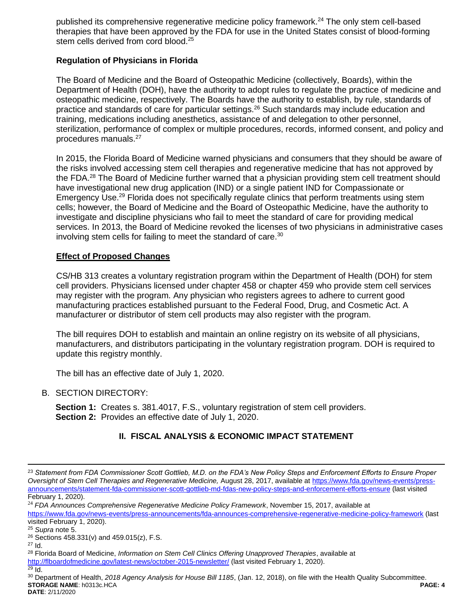published its comprehensive regenerative medicine policy framework.<sup>24</sup> The only stem cell-based therapies that have been approved by the FDA for use in the United States consist of blood-forming stem cells derived from cord blood.<sup>25</sup>

## **Regulation of Physicians in Florida**

The Board of Medicine and the Board of Osteopathic Medicine (collectively, Boards), within the Department of Health (DOH), have the authority to adopt rules to regulate the practice of medicine and osteopathic medicine, respectively. The Boards have the authority to establish, by rule, standards of practice and standards of care for particular settings.<sup>26</sup> Such standards may include education and training, medications including anesthetics, assistance of and delegation to other personnel, sterilization, performance of complex or multiple procedures, records, informed consent, and policy and procedures manuals.<sup>27</sup>

In 2015, the Florida Board of Medicine warned physicians and consumers that they should be aware of the risks involved accessing stem cell therapies and regenerative medicine that has not approved by the FDA.<sup>28</sup> The Board of Medicine further warned that a physician providing stem cell treatment should have investigational new drug application (IND) or a single patient IND for Compassionate or Emergency Use.<sup>29</sup> Florida does not specifically regulate clinics that perform treatments using stem cells; however, the Board of Medicine and the Board of Osteopathic Medicine, have the authority to investigate and discipline physicians who fail to meet the standard of care for providing medical services. In 2013, the Board of Medicine revoked the licenses of two physicians in administrative cases involving stem cells for failing to meet the standard of care.<sup>30</sup>

## **Effect of Proposed Changes**

CS/HB 313 creates a voluntary registration program within the Department of Health (DOH) for stem cell providers. Physicians licensed under chapter 458 or chapter 459 who provide stem cell services may register with the program. Any physician who registers agrees to adhere to current good manufacturing practices established pursuant to the Federal Food, Drug, and Cosmetic Act. A manufacturer or distributor of stem cell products may also register with the program.

The bill requires DOH to establish and maintain an online registry on its website of all physicians, manufacturers, and distributors participating in the voluntary registration program. DOH is required to update this registry monthly.

The bill has an effective date of July 1, 2020.

## B. SECTION DIRECTORY:

**Section 1:** Creates s. 381.4017, F.S., voluntary registration of stem cell providers. **Section 2:** Provides an effective date of July 1, 2020.

## **II. FISCAL ANALYSIS & ECONOMIC IMPACT STATEMENT**

 $\overline{a}$ 

<sup>23</sup> *Statement from FDA Commissioner Scott Gottlieb, M.D. on the FDA's New Policy Steps and Enforcement Efforts to Ensure Proper Oversight of Stem Cell Therapies and Regenerative Medicine,* August 28, 2017, available at [https://www.fda.gov/news-events/press](https://www.fda.gov/news-events/press-announcements/statement-fda-commissioner-scott-gottlieb-md-fdas-new-policy-steps-and-enforcement-efforts-ensure)[announcements/statement-fda-commissioner-scott-gottlieb-md-fdas-new-policy-steps-and-enforcement-efforts-ensure](https://www.fda.gov/news-events/press-announcements/statement-fda-commissioner-scott-gottlieb-md-fdas-new-policy-steps-and-enforcement-efforts-ensure) (last visited February 1, 2020).

<sup>24</sup> *FDA Announces Comprehensive Regenerative Medicine Policy Framework*, November 15, 2017, available at <https://www.fda.gov/news-events/press-announcements/fda-announces-comprehensive-regenerative-medicine-policy-framework> (last visited February 1, 2020).

<sup>25</sup> *Supra* note 5.

 $26$  Sections 458.331(v) and 459.015(z), F.S.

<sup>27</sup> Id.

<sup>28</sup> Florida Board of Medicine, *Information on Stem Cell Clinics Offering Unapproved Therapies*, available at

<http://flboardofmedicine.gov/latest-news/october-2015-newsletter/> (last visited February 1, 2020).

 $29$  Id.

**STORAGE NAME**: h0313c.HCA **PAGE: 4 DATE**: 2/11/2020 <sup>30</sup> Department of Health, *2018 Agency Analysis for House Bill 1185*, (Jan. 12, 2018), on file with the Health Quality Subcommittee.